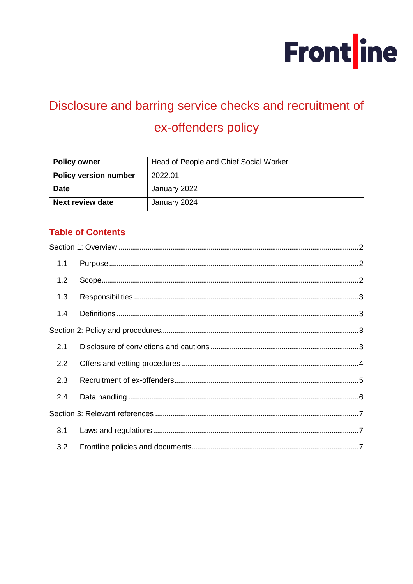

# Disclosure and barring service checks and recruitment of ex-offenders policy

| <b>Policy owner</b>          | Head of People and Chief Social Worker |
|------------------------------|----------------------------------------|
| <b>Policy version number</b> | 2022.01                                |
| <b>Date</b>                  | January 2022                           |
| <b>Next review date</b>      | January 2024                           |

# **Table of Contents**

| 1.1 |  |
|-----|--|
| 1.2 |  |
| 1.3 |  |
| 1.4 |  |
|     |  |
| 2.1 |  |
| 2.2 |  |
| 2.3 |  |
| 2.4 |  |
|     |  |
| 3.1 |  |
| 3.2 |  |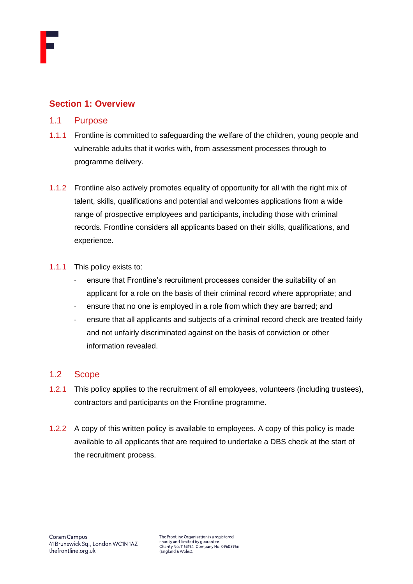

## <span id="page-1-0"></span>**Section 1: Overview**

- <span id="page-1-1"></span>1.1 Purpose
- 1.1.1 Frontline is committed to safeguarding the welfare of the children, young people and vulnerable adults that it works with, from assessment processes through to programme delivery.
- 1.1.2 Frontline also actively promotes equality of opportunity for all with the right mix of talent, skills, qualifications and potential and welcomes applications from a wide range of prospective employees and participants, including those with criminal records. Frontline considers all applicants based on their skills, qualifications, and experience.
- 1.1.1 This policy exists to:
	- ensure that Frontline's recruitment processes consider the suitability of an applicant for a role on the basis of their criminal record where appropriate; and
	- ensure that no one is employed in a role from which they are barred; and
	- ensure that all applicants and subjects of a criminal record check are treated fairly and not unfairly discriminated against on the basis of conviction or other information revealed.

## <span id="page-1-2"></span>1.2 Scope

- 1.2.1 This policy applies to the recruitment of all employees, volunteers (including trustees), contractors and participants on the Frontline programme.
- 1.2.2 A copy of this written policy is available to employees. A copy of this policy is made available to all applicants that are required to undertake a DBS check at the start of the recruitment process.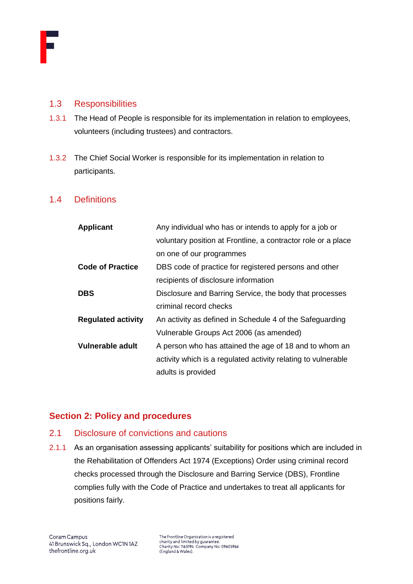

#### <span id="page-2-0"></span>1.3 Responsibilities

- 1.3.1 The Head of People is responsible for its implementation in relation to employees, volunteers (including trustees) and contractors.
- 1.3.2 The Chief Social Worker is responsible for its implementation in relation to participants.

#### <span id="page-2-1"></span>1.4 Definitions

| <b>Applicant</b>          | Any individual who has or intends to apply for a job or       |
|---------------------------|---------------------------------------------------------------|
|                           | voluntary position at Frontline, a contractor role or a place |
|                           | on one of our programmes                                      |
| <b>Code of Practice</b>   | DBS code of practice for registered persons and other         |
|                           | recipients of disclosure information                          |
| <b>DBS</b>                | Disclosure and Barring Service, the body that processes       |
|                           | criminal record checks                                        |
| <b>Regulated activity</b> | An activity as defined in Schedule 4 of the Safeguarding      |
|                           | Vulnerable Groups Act 2006 (as amended)                       |
| Vulnerable adult          | A person who has attained the age of 18 and to whom an        |
|                           | activity which is a regulated activity relating to vulnerable |
|                           | adults is provided                                            |

## <span id="page-2-2"></span>**Section 2: Policy and procedures**

## <span id="page-2-3"></span>2.1 Disclosure of convictions and cautions

2.1.1 As an organisation assessing applicants' suitability for positions which are included in the Rehabilitation of Offenders Act 1974 (Exceptions) Order using criminal record checks processed through the Disclosure and Barring Service (DBS), Frontline complies fully with the Code of Practice and undertakes to treat all applicants for positions fairly.

The Frontline Organisation is a registered<br>charity and limited by guarantee. Charity and immediby goalance.<br>Charity No: 1163194 Company No: 09605966<br>(England & Wales).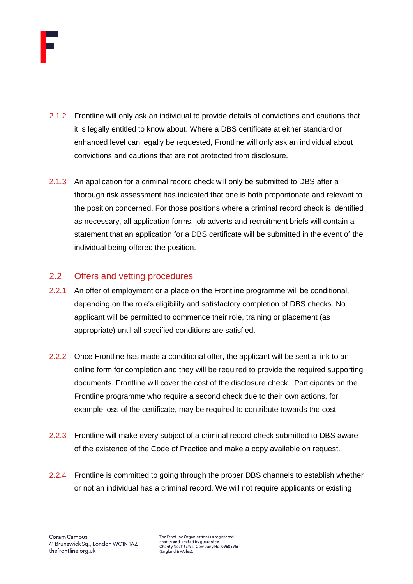

- 2.1.2 Frontline will only ask an individual to provide details of convictions and cautions that it is legally entitled to know about. Where a DBS certificate at either standard or enhanced level can legally be requested, Frontline will only ask an individual about convictions and cautions that are not protected from disclosure.
- 2.1.3 An application for a criminal record check will only be submitted to DBS after a thorough risk assessment has indicated that one is both proportionate and relevant to the position concerned. For those positions where a criminal record check is identified as necessary, all application forms, job adverts and recruitment briefs will contain a statement that an application for a DBS certificate will be submitted in the event of the individual being offered the position.

## <span id="page-3-0"></span>2.2 Offers and vetting procedures

- 2.2.1 An offer of employment or a place on the Frontline programme will be conditional, depending on the role's eligibility and satisfactory completion of DBS checks. No applicant will be permitted to commence their role, training or placement (as appropriate) until all specified conditions are satisfied.
- 2.2.2 Once Frontline has made a conditional offer, the applicant will be sent a link to an online form for completion and they will be required to provide the required supporting documents. Frontline will cover the cost of the disclosure check. Participants on the Frontline programme who require a second check due to their own actions, for example loss of the certificate, may be required to contribute towards the cost.
- 2.2.3 Frontline will make every subject of a criminal record check submitted to DBS aware of the existence of the Code of Practice and make a copy available on request.
- 2.2.4 Frontline is committed to going through the proper DBS channels to establish whether or not an individual has a criminal record. We will not require applicants or existing

The Frontline Organisation is a registered charity and limited by guarantee. Charity No: 1163194 Company No: 09605966<br>(England & Wales).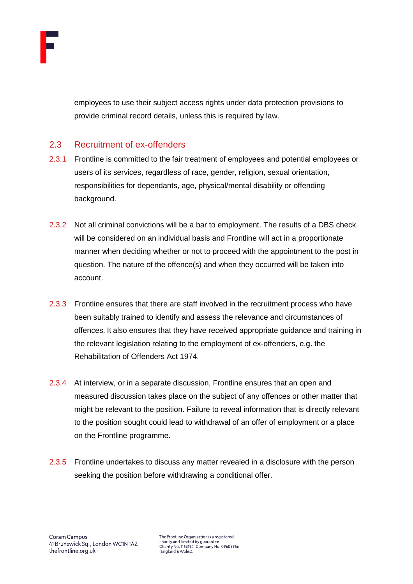

employees to use their subject access rights under data protection provisions to provide criminal record details, unless this is required by law.

## <span id="page-4-0"></span>2.3 Recruitment of ex-offenders

- 2.3.1 Frontline is committed to the fair treatment of employees and potential employees or users of its services, regardless of race, gender, religion, sexual orientation, responsibilities for dependants, age, physical/mental disability or offending background.
- 2.3.2 Not all criminal convictions will be a bar to employment. The results of a DBS check will be considered on an individual basis and Frontline will act in a proportionate manner when deciding whether or not to proceed with the appointment to the post in question. The nature of the offence(s) and when they occurred will be taken into account.
- 2.3.3 Frontline ensures that there are staff involved in the recruitment process who have been suitably trained to identify and assess the relevance and circumstances of offences. It also ensures that they have received appropriate guidance and training in the relevant legislation relating to the employment of ex-offenders, e.g. the Rehabilitation of Offenders Act 1974.
- 2.3.4 At interview, or in a separate discussion, Frontline ensures that an open and measured discussion takes place on the subject of any offences or other matter that might be relevant to the position. Failure to reveal information that is directly relevant to the position sought could lead to withdrawal of an offer of employment or a place on the Frontline programme.
- 2.3.5 Frontline undertakes to discuss any matter revealed in a disclosure with the person seeking the position before withdrawing a conditional offer.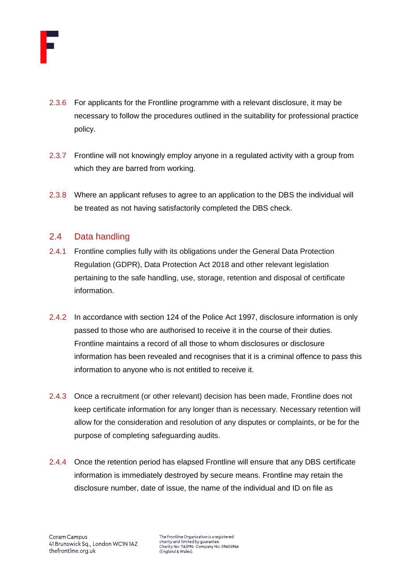

- 2.3.6 For applicants for the Frontline programme with a relevant disclosure, it may be necessary to follow the procedures outlined in the suitability for professional practice policy.
- 2.3.7 Frontline will not knowingly employ anyone in a regulated activity with a group from which they are barred from working.
- 2.3.8 Where an applicant refuses to agree to an application to the DBS the individual will be treated as not having satisfactorily completed the DBS check.

## <span id="page-5-0"></span>2.4 Data handling

- 2.4.1 Frontline complies fully with its obligations under the General Data Protection Regulation (GDPR), Data Protection Act 2018 and other relevant legislation pertaining to the safe handling, use, storage, retention and disposal of certificate information.
- 2.4.2 In accordance with section 124 of the Police Act 1997, disclosure information is only passed to those who are authorised to receive it in the course of their duties. Frontline maintains a record of all those to whom disclosures or disclosure information has been revealed and recognises that it is a criminal offence to pass this information to anyone who is not entitled to receive it.
- 2.4.3 Once a recruitment (or other relevant) decision has been made, Frontline does not keep certificate information for any longer than is necessary. Necessary retention will allow for the consideration and resolution of any disputes or complaints, or be for the purpose of completing safeguarding audits.
- 2.4.4 Once the retention period has elapsed Frontline will ensure that any DBS certificate information is immediately destroyed by secure means. Frontline may retain the disclosure number, date of issue, the name of the individual and ID on file as